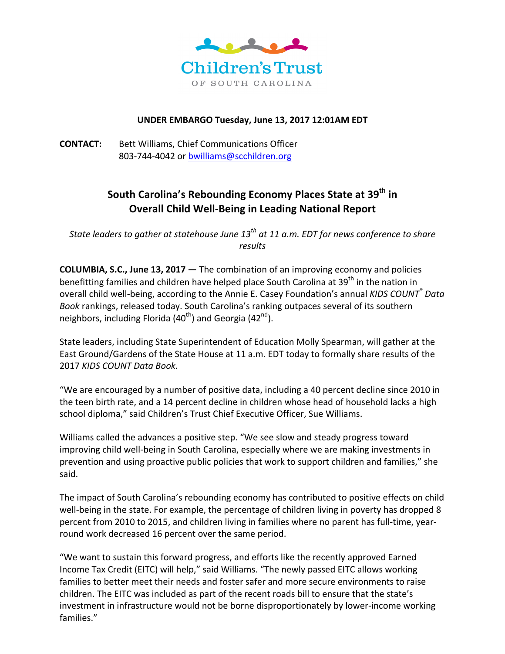

## **UNDER EMBARGO Tuesday, June 13, 2017 12:01AM EDT**

**CONTACT:** Bett Williams, Chief Communications Officer 803-744-4042 or bwilliams@scchildren.org

# **South Carolina's Rebounding Economy Places State at 39<sup>th</sup> in Overall Child Well-Being in Leading National Report**

*State leaders to gather at statehouse June* 13<sup>th</sup> at 11 a.m. *EDT* for news conference to share *results* 

**COLUMBIA, S.C., June 13, 2017** — The combination of an improving economy and policies benefitting families and children have helped place South Carolina at 39<sup>th</sup> in the nation in overall child well-being, according to the Annie E. Casey Foundation's annual *KIDS COUNT<sup>®</sup> Data* Book rankings, released today. South Carolina's ranking outpaces several of its southern neighbors, including Florida  $(40<sup>th</sup>)$  and Georgia  $(42<sup>nd</sup>)$ .

State leaders, including State Superintendent of Education Molly Spearman, will gather at the East Ground/Gardens of the State House at 11 a.m. EDT today to formally share results of the 2017 KIDS COUNT Data Book.

"We are encouraged by a number of positive data, including a 40 percent decline since 2010 in the teen birth rate, and a 14 percent decline in children whose head of household lacks a high school diploma," said Children's Trust Chief Executive Officer, Sue Williams.

Williams called the advances a positive step. "We see slow and steady progress toward improving child well-being in South Carolina, especially where we are making investments in prevention and using proactive public policies that work to support children and families," she said.

The impact of South Carolina's rebounding economy has contributed to positive effects on child well-being in the state. For example, the percentage of children living in poverty has dropped 8 percent from 2010 to 2015, and children living in families where no parent has full-time, yearround work decreased 16 percent over the same period.

"We want to sustain this forward progress, and efforts like the recently approved Earned Income Tax Credit (EITC) will help," said Williams. "The newly passed EITC allows working families to better meet their needs and foster safer and more secure environments to raise children. The EITC was included as part of the recent roads bill to ensure that the state's investment in infrastructure would not be borne disproportionately by lower-income working families."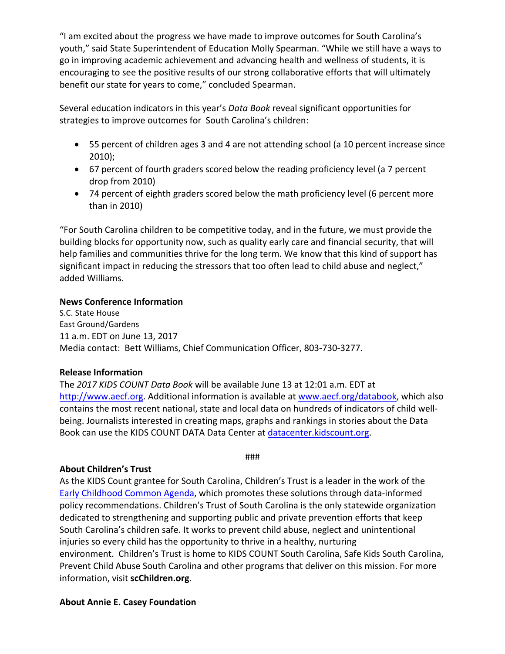"I am excited about the progress we have made to improve outcomes for South Carolina's youth," said State Superintendent of Education Molly Spearman. "While we still have a ways to go in improving academic achievement and advancing health and wellness of students, it is encouraging to see the positive results of our strong collaborative efforts that will ultimately benefit our state for years to come," concluded Spearman.

Several education indicators in this year's *Data Book* reveal significant opportunities for strategies to improve outcomes for South Carolina's children:

- 55 percent of children ages 3 and 4 are not attending school (a 10 percent increase since 2010);
- 67 percent of fourth graders scored below the reading proficiency level (a 7 percent drop from 2010)
- 74 percent of eighth graders scored below the math proficiency level (6 percent more than in  $2010$ )

"For South Carolina children to be competitive today, and in the future, we must provide the building blocks for opportunity now, such as quality early care and financial security, that will help families and communities thrive for the long term. We know that this kind of support has significant impact in reducing the stressors that too often lead to child abuse and neglect," added Williams.

## **News Conference Information**

S.C. State House East Ground/Gardens 11 a.m. EDT on June 13, 2017 Media contact: Bett Williams, Chief Communication Officer, 803-730-3277.

#### **Release Information**

The 2017 KIDS COUNT Data Book will be available June 13 at 12:01 a.m. EDT at http://www.aecf.org. Additional information is available at www.aecf.org/databook, which also contains the most recent national, state and local data on hundreds of indicators of child wellbeing. Journalists interested in creating maps, graphs and rankings in stories about the Data Book can use the KIDS COUNT DATA Data Center at datacenter.kidscount.org.

###

# **About Children's Trust**

As the KIDS Count grantee for South Carolina, Children's Trust is a leader in the work of the Early Childhood Common Agenda, which promotes these solutions through data-informed policy recommendations. Children's Trust of South Carolina is the only statewide organization dedicated to strengthening and supporting public and private prevention efforts that keep South Carolina's children safe. It works to prevent child abuse, neglect and unintentional injuries so every child has the opportunity to thrive in a healthy, nurturing environment. Children's Trust is home to KIDS COUNT South Carolina, Safe Kids South Carolina, Prevent Child Abuse South Carolina and other programs that deliver on this mission. For more information, visit **scChildren.org**.

# **About Annie E. Casey Foundation**